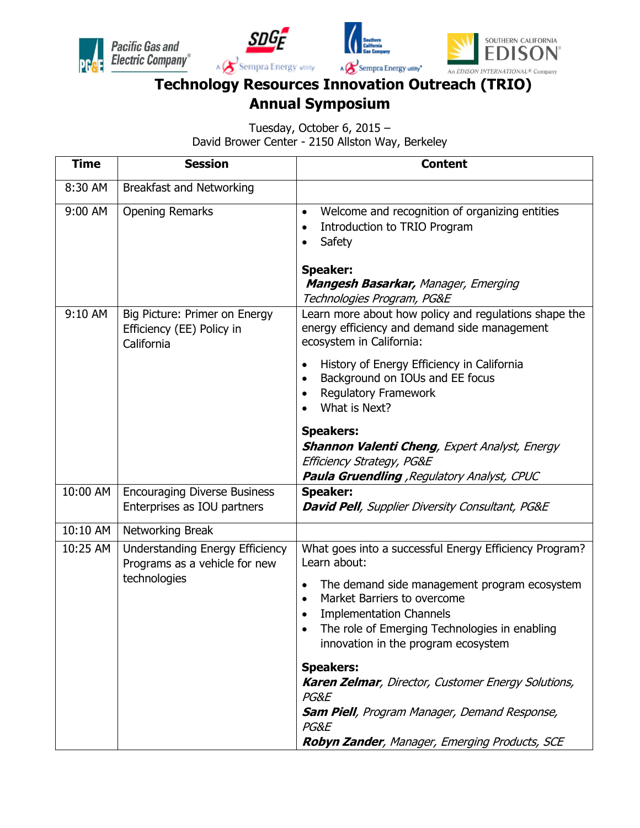







## **Technology Resources Innovation Outreach (TRIO) Annual Symposium**

Tuesday, October 6, 2015 – David Brower Center - 2150 Allston Way, Berkeley

| <b>Time</b> | <b>Session</b>                                                                   | <b>Content</b>                                                                                                                                                                                                                                                                                                                                                                                                                                                                                                      |
|-------------|----------------------------------------------------------------------------------|---------------------------------------------------------------------------------------------------------------------------------------------------------------------------------------------------------------------------------------------------------------------------------------------------------------------------------------------------------------------------------------------------------------------------------------------------------------------------------------------------------------------|
| 8:30 AM     | <b>Breakfast and Networking</b>                                                  |                                                                                                                                                                                                                                                                                                                                                                                                                                                                                                                     |
| 9:00 AM     | <b>Opening Remarks</b>                                                           | Welcome and recognition of organizing entities<br>$\bullet$<br>Introduction to TRIO Program<br>$\bullet$<br>Safety<br><b>Speaker:</b><br><b>Mangesh Basarkar, Manager, Emerging</b><br>Technologies Program, PG&E                                                                                                                                                                                                                                                                                                   |
| 9:10 AM     | Big Picture: Primer on Energy<br>Efficiency (EE) Policy in<br>California         | Learn more about how policy and regulations shape the<br>energy efficiency and demand side management<br>ecosystem in California:<br>History of Energy Efficiency in California<br>$\bullet$<br>Background on IOUs and EE focus<br>Regulatory Framework<br>$\bullet$<br>What is Next?<br><b>Speakers:</b><br><b>Shannon Valenti Cheng</b> , Expert Analyst, Energy<br>Efficiency Strategy, PG&E<br><b>Paula Gruendling</b> , Regulatory Analyst, CPUC                                                               |
| 10:00 AM    | <b>Encouraging Diverse Business</b><br>Enterprises as IOU partners               | <b>Speaker:</b><br><b>David Pell</b> , Supplier Diversity Consultant, PG&E                                                                                                                                                                                                                                                                                                                                                                                                                                          |
| 10:10 AM    | Networking Break                                                                 |                                                                                                                                                                                                                                                                                                                                                                                                                                                                                                                     |
| 10:25 AM    | Understanding Energy Efficiency<br>Programs as a vehicle for new<br>technologies | What goes into a successful Energy Efficiency Program?<br>Learn about:<br>The demand side management program ecosystem<br>$\bullet$<br>Market Barriers to overcome<br>$\bullet$<br><b>Implementation Channels</b><br>The role of Emerging Technologies in enabling<br>innovation in the program ecosystem<br><b>Speakers:</b><br><b>Karen Zelmar, Director, Customer Energy Solutions,</b><br>PG&E<br><b>Sam Piell</b> , Program Manager, Demand Response,<br>PG&E<br>Robyn Zander, Manager, Emerging Products, SCE |